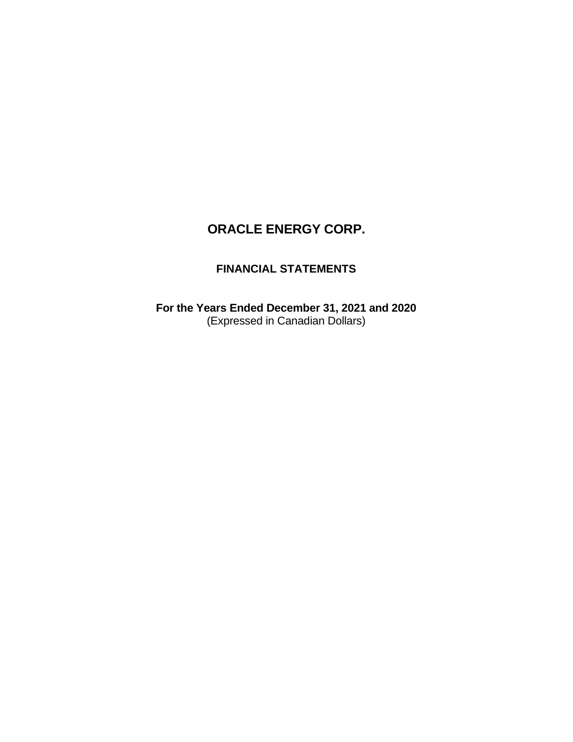# **FINANCIAL STATEMENTS**

**For the Years Ended December 31, 2021 and 2020**  (Expressed in Canadian Dollars)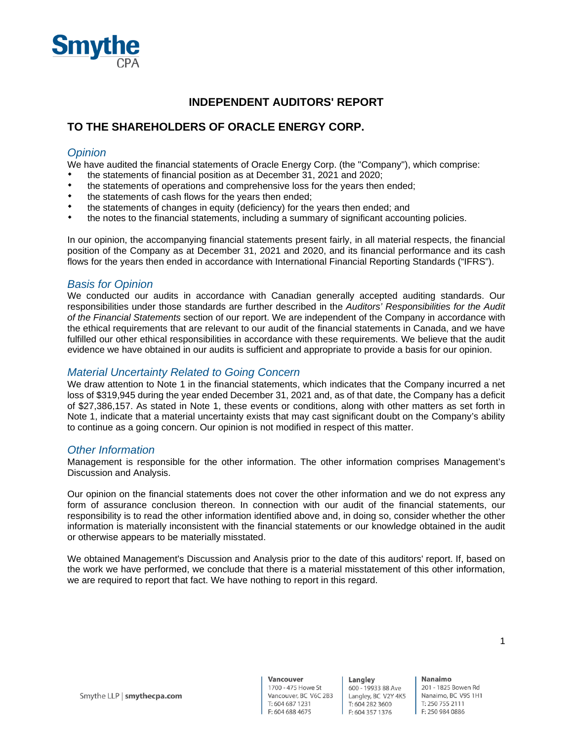

# **INDEPENDENT AUDITORS' REPORT**

# **TO THE SHAREHOLDERS OF ORACLE ENERGY CORP.**

### *Opinion*

We have audited the financial statements of Oracle Energy Corp. (the "Company"), which comprise:

- the statements of financial position as at December 31, 2021 and 2020;
- the statements of operations and comprehensive loss for the years then ended;
- the statements of cash flows for the years then ended;
- the statements of changes in equity (deficiency) for the years then ended; and
- the notes to the financial statements, including a summary of significant accounting policies.

In our opinion, the accompanying financial statements present fairly, in all material respects, the financial position of the Company as at December 31, 2021 and 2020, and its financial performance and its cash flows for the years then ended in accordance with International Financial Reporting Standards ("IFRS").

#### *Basis for Opinion*

We conducted our audits in accordance with Canadian generally accepted auditing standards. Our responsibilities under those standards are further described in the *Auditors' Responsibilities for the Audit of the Financial Statements* section of our report. We are independent of the Company in accordance with the ethical requirements that are relevant to our audit of the financial statements in Canada, and we have fulfilled our other ethical responsibilities in accordance with these requirements. We believe that the audit evidence we have obtained in our audits is sufficient and appropriate to provide a basis for our opinion.

#### *Material Uncertainty Related to Going Concern*

We draw attention to Note 1 in the financial statements, which indicates that the Company incurred a net loss of \$319,945 during the year ended December 31, 2021 and, as of that date, the Company has a deficit of \$27,386,157. As stated in Note 1, these events or conditions, along with other matters as set forth in Note 1, indicate that a material uncertainty exists that may cast significant doubt on the Company's ability to continue as a going concern. Our opinion is not modified in respect of this matter.

#### *Other Information*

Management is responsible for the other information. The other information comprises Management's Discussion and Analysis.

Our opinion on the financial statements does not cover the other information and we do not express any form of assurance conclusion thereon. In connection with our audit of the financial statements, our responsibility is to read the other information identified above and, in doing so, consider whether the other information is materially inconsistent with the financial statements or our knowledge obtained in the audit or otherwise appears to be materially misstated.

We obtained Management's Discussion and Analysis prior to the date of this auditors' report. If, based on the work we have performed, we conclude that there is a material misstatement of this other information, we are required to report that fact. We have nothing to report in this regard.

1

201 - 1825 Bowen Rd Nanaimo, BC V9S 1H1 T: 250 755 2111 F: 250 984 0886

Nanaimo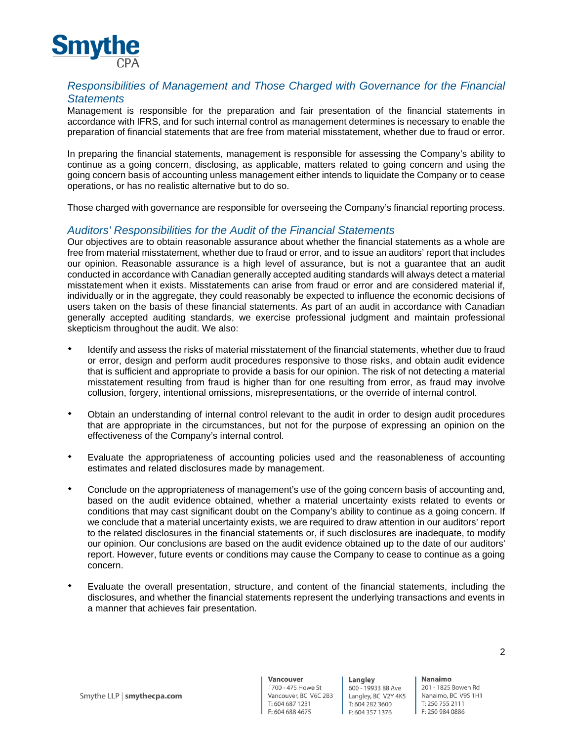

# *Responsibilities of Management and Those Charged with Governance for the Financial Statements*

Management is responsible for the preparation and fair presentation of the financial statements in accordance with IFRS, and for such internal control as management determines is necessary to enable the preparation of financial statements that are free from material misstatement, whether due to fraud or error.

In preparing the financial statements, management is responsible for assessing the Company's ability to continue as a going concern, disclosing, as applicable, matters related to going concern and using the going concern basis of accounting unless management either intends to liquidate the Company or to cease operations, or has no realistic alternative but to do so.

Those charged with governance are responsible for overseeing the Company's financial reporting process.

### *Auditors' Responsibilities for the Audit of the Financial Statements*

Our objectives are to obtain reasonable assurance about whether the financial statements as a whole are free from material misstatement, whether due to fraud or error, and to issue an auditors' report that includes our opinion. Reasonable assurance is a high level of assurance, but is not a guarantee that an audit conducted in accordance with Canadian generally accepted auditing standards will always detect a material misstatement when it exists. Misstatements can arise from fraud or error and are considered material if, individually or in the aggregate, they could reasonably be expected to influence the economic decisions of users taken on the basis of these financial statements. As part of an audit in accordance with Canadian generally accepted auditing standards, we exercise professional judgment and maintain professional skepticism throughout the audit. We also:

- Identify and assess the risks of material misstatement of the financial statements, whether due to fraud or error, design and perform audit procedures responsive to those risks, and obtain audit evidence that is sufficient and appropriate to provide a basis for our opinion. The risk of not detecting a material misstatement resulting from fraud is higher than for one resulting from error, as fraud may involve collusion, forgery, intentional omissions, misrepresentations, or the override of internal control.
- Obtain an understanding of internal control relevant to the audit in order to design audit procedures that are appropriate in the circumstances, but not for the purpose of expressing an opinion on the effectiveness of the Company's internal control.
- Evaluate the appropriateness of accounting policies used and the reasonableness of accounting estimates and related disclosures made by management.
- Conclude on the appropriateness of management's use of the going concern basis of accounting and, based on the audit evidence obtained, whether a material uncertainty exists related to events or conditions that may cast significant doubt on the Company's ability to continue as a going concern. If we conclude that a material uncertainty exists, we are required to draw attention in our auditors' report to the related disclosures in the financial statements or, if such disclosures are inadequate, to modify our opinion. Our conclusions are based on the audit evidence obtained up to the date of our auditors' report. However, future events or conditions may cause the Company to cease to continue as a going concern.
- Evaluate the overall presentation, structure, and content of the financial statements, including the disclosures, and whether the financial statements represent the underlying transactions and events in a manner that achieves fair presentation.

Langley 600 - 19933 88 Ave Langley, BC V2Y 4K5 T: 604 282 3600 F: 604 357 1376

Nanaimo 201 - 1825 Bowen Rd Nanaimo, BC V9S 1H1 T: 250 755 2111 F: 250 984 0886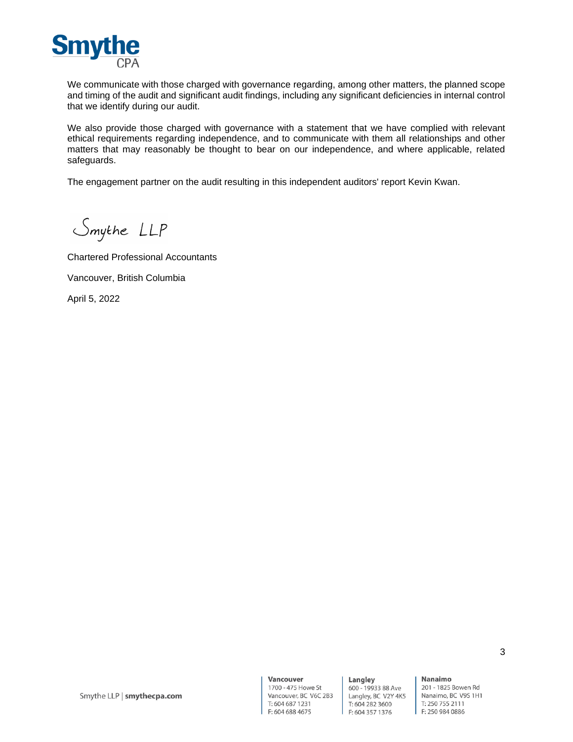

We communicate with those charged with governance regarding, among other matters, the planned scope and timing of the audit and significant audit findings, including any significant deficiencies in internal control that we identify during our audit.

We also provide those charged with governance with a statement that we have complied with relevant ethical requirements regarding independence, and to communicate with them all relationships and other matters that may reasonably be thought to bear on our independence, and where applicable, related safeguards.

The engagement partner on the audit resulting in this independent auditors' report Kevin Kwan.

Smythe LLP

Chartered Professional Accountants Vancouver, British Columbia April 5, 2022

Langley 600 - 19933 88 Ave Langley, BC V2Y 4K5 T: 604 282 3600 F: 604 357 1376

Nanaimo 201 - 1825 Bowen Rd Nanaimo, BC V9S 1H1 T: 250 755 2111 F: 250 984 0886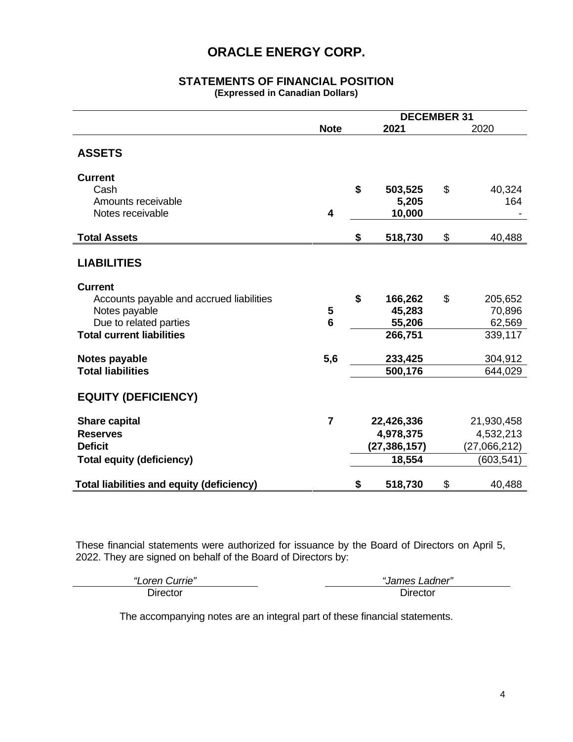# **STATEMENTS OF FINANCIAL POSITION**

**(Expressed in Canadian Dollars)** 

|                                                                                                                                           |                         | <b>DECEMBER 31</b> |                                                     |    |                                                       |
|-------------------------------------------------------------------------------------------------------------------------------------------|-------------------------|--------------------|-----------------------------------------------------|----|-------------------------------------------------------|
|                                                                                                                                           | <b>Note</b>             |                    | 2021                                                |    | 2020                                                  |
| <b>ASSETS</b>                                                                                                                             |                         |                    |                                                     |    |                                                       |
| <b>Current</b><br>Cash<br>Amounts receivable<br>Notes receivable                                                                          | $\overline{\mathbf{4}}$ | \$                 | 503,525<br>5,205<br>10,000                          | \$ | 40,324<br>164                                         |
| <b>Total Assets</b>                                                                                                                       |                         | \$                 | 518,730                                             | \$ | 40,488                                                |
| <b>LIABILITIES</b>                                                                                                                        |                         |                    |                                                     |    |                                                       |
| <b>Current</b><br>Accounts payable and accrued liabilities<br>Notes payable<br>Due to related parties<br><b>Total current liabilities</b> | 5<br>$6\phantom{1}6$    | \$                 | 166,262<br>45,283<br>55,206<br>266,751              | \$ | 205,652<br>70,896<br>62,569<br>339,117                |
| Notes payable<br><b>Total liabilities</b>                                                                                                 | 5,6                     |                    | 233,425<br>500,176                                  |    | 304,912<br>644,029                                    |
| <b>EQUITY (DEFICIENCY)</b>                                                                                                                |                         |                    |                                                     |    |                                                       |
| <b>Share capital</b><br><b>Reserves</b><br><b>Deficit</b><br><b>Total equity (deficiency)</b>                                             | $\overline{7}$          |                    | 22,426,336<br>4,978,375<br>(27, 386, 157)<br>18,554 |    | 21,930,458<br>4,532,213<br>(27,066,212)<br>(603, 541) |
| <b>Total liabilities and equity (deficiency)</b>                                                                                          |                         | \$                 | 518,730                                             | \$ | 40,488                                                |

These financial statements were authorized for issuance by the Board of Directors on April 5, 2022. They are signed on behalf of the Board of Directors by:

| $U$ urrie"<br>"<br>∟oren | ∟adner″<br>James I |
|--------------------------|--------------------|
| Jirector                 | n Jirector         |

The accompanying notes are an integral part of these financial statements.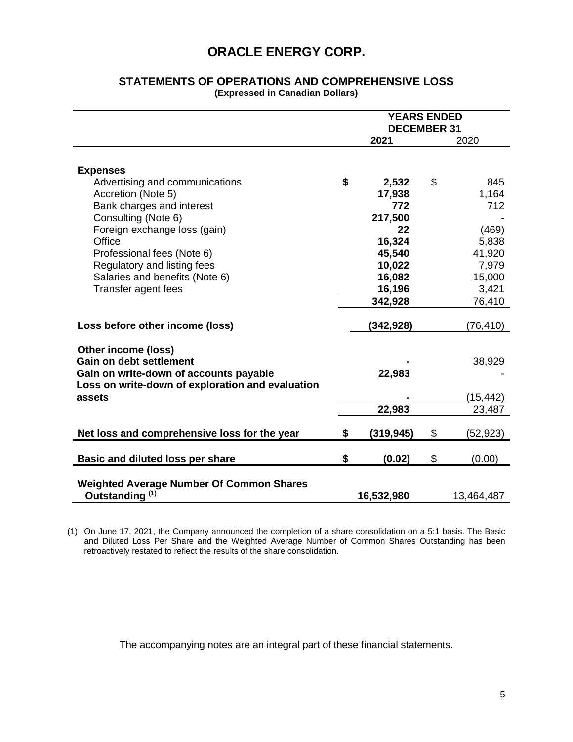|                                                                                                 | <b>YEARS ENDED</b><br><b>DECEMBER 31</b> |            |    |            |
|-------------------------------------------------------------------------------------------------|------------------------------------------|------------|----|------------|
|                                                                                                 |                                          | 2021       |    | 2020       |
| <b>Expenses</b>                                                                                 |                                          |            |    |            |
| Advertising and communications                                                                  | \$                                       | 2,532      | \$ | 845        |
| Accretion (Note 5)                                                                              |                                          | 17,938     |    | 1,164      |
| Bank charges and interest                                                                       |                                          | 772        |    | 712        |
| Consulting (Note 6)                                                                             |                                          | 217,500    |    |            |
| Foreign exchange loss (gain)                                                                    |                                          | 22         |    | (469)      |
| Office                                                                                          |                                          | 16,324     |    | 5,838      |
| Professional fees (Note 6)                                                                      |                                          | 45,540     |    | 41,920     |
| Regulatory and listing fees                                                                     |                                          | 10,022     |    | 7,979      |
| Salaries and benefits (Note 6)                                                                  |                                          | 16,082     |    | 15,000     |
| Transfer agent fees                                                                             |                                          | 16,196     |    | 3,421      |
|                                                                                                 |                                          | 342,928    |    | 76,410     |
| Loss before other income (loss)                                                                 |                                          | (342,928)  |    | (76,410)   |
| Other income (loss)<br><b>Gain on debt settlement</b><br>Gain on write-down of accounts payable |                                          | 22,983     |    | 38,929     |
| Loss on write-down of exploration and evaluation<br>assets                                      |                                          |            |    | (15,442)   |
|                                                                                                 |                                          | 22,983     |    | 23,487     |
| Net loss and comprehensive loss for the year                                                    | \$                                       | (319, 945) | \$ | (52,923)   |
| Basic and diluted loss per share                                                                | \$                                       | (0.02)     | \$ | (0.00)     |
| <b>Weighted Average Number Of Common Shares</b><br>Outstanding <sup>(1)</sup>                   |                                          | 16,532,980 |    | 13,464,487 |

### **STATEMENTS OF OPERATIONS AND COMPREHENSIVE LOSS (Expressed in Canadian Dollars)**

(1) On June 17, 2021, the Company announced the completion of a share consolidation on a 5:1 basis. The Basic and Diluted Loss Per Share and the Weighted Average Number of Common Shares Outstanding has been retroactively restated to reflect the results of the share consolidation.

The accompanying notes are an integral part of these financial statements.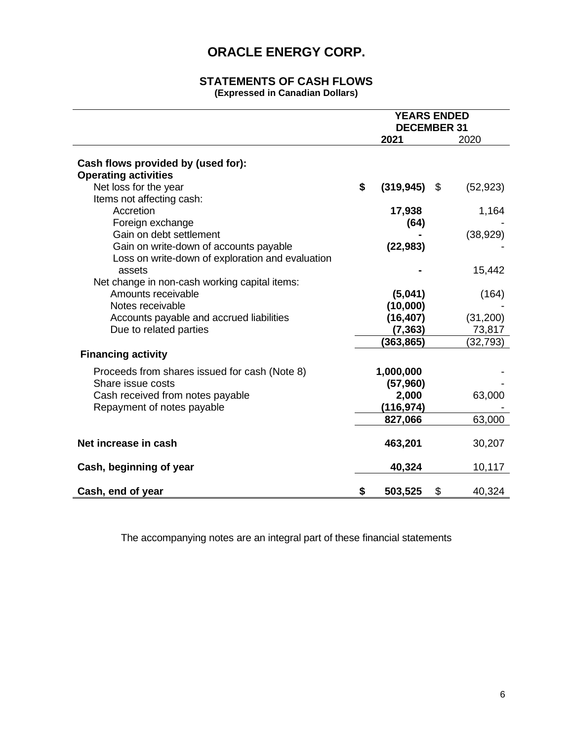#### **STATEMENTS OF CASH FLOWS (Expressed in Canadian Dollars)**

|                                                                                                                       | <b>YEARS ENDED</b><br><b>DECEMBER 31</b> |                        |    |                    |
|-----------------------------------------------------------------------------------------------------------------------|------------------------------------------|------------------------|----|--------------------|
|                                                                                                                       |                                          | 2021                   |    | 2020               |
| Cash flows provided by (used for):<br><b>Operating activities</b>                                                     |                                          |                        |    |                    |
| Net loss for the year<br>Items not affecting cash:                                                                    | \$                                       | $(319, 945)$ \$        |    | (52, 923)          |
| Accretion<br>Foreign exchange                                                                                         |                                          | 17,938<br>(64)         |    | 1,164              |
| Gain on debt settlement<br>Gain on write-down of accounts payable<br>Loss on write-down of exploration and evaluation |                                          | (22, 983)              |    | (38, 929)          |
| assets<br>Net change in non-cash working capital items:                                                               |                                          |                        |    | 15,442             |
| Amounts receivable<br>Notes receivable                                                                                |                                          | (5,041)<br>(10,000)    |    | (164)              |
| Accounts payable and accrued liabilities<br>Due to related parties                                                    |                                          | (16, 407)<br>(7, 363)  |    | (31,200)<br>73,817 |
| <b>Financing activity</b>                                                                                             |                                          | (363, 865)             |    | (32, 793)          |
| Proceeds from shares issued for cash (Note 8)<br>Share issue costs                                                    |                                          | 1,000,000<br>(57, 960) |    |                    |
| Cash received from notes payable<br>Repayment of notes payable                                                        |                                          | 2,000<br>(116, 974)    |    | 63,000             |
|                                                                                                                       |                                          | 827,066                |    | 63,000             |
| Net increase in cash                                                                                                  |                                          | 463,201                |    | 30,207             |
| Cash, beginning of year                                                                                               |                                          | 40,324                 |    | 10,117             |
| Cash, end of year                                                                                                     | \$                                       | 503,525                | \$ | 40,324             |

The accompanying notes are an integral part of these financial statements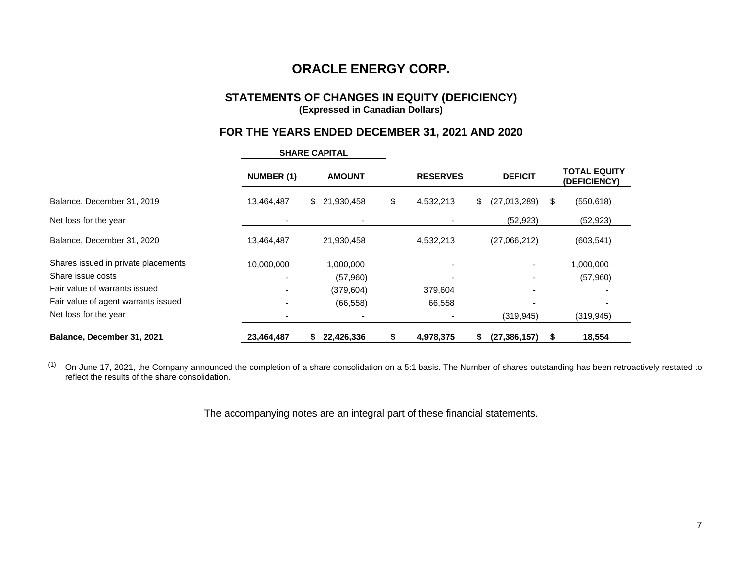### **STATEMENTS OF CHANGES IN EQUITY (DEFICIENCY) (Expressed in Canadian Dollars)**

# **FOR THE YEARS ENDED DECEMBER 31, 2021 AND 2020**

|                                     | <b>NUMBER (1)</b>        | <b>AMOUNT</b>    | <b>RESERVES</b>       | <b>DEFICIT</b> |    | <b>TOTAL EQUITY</b><br>(DEFICIENCY) |
|-------------------------------------|--------------------------|------------------|-----------------------|----------------|----|-------------------------------------|
| Balance, December 31, 2019          | 13,464,487               | 21,930,458<br>\$ | \$<br>4,532,213<br>\$ | (27,013,289)   | \$ | (550, 618)                          |
| Net loss for the year               |                          |                  |                       | (52, 923)      |    | (52, 923)                           |
| Balance, December 31, 2020          | 13,464,487               | 21,930,458       | 4,532,213             | (27,066,212)   |    | (603, 541)                          |
| Shares issued in private placements | 10,000,000               | 1,000,000        |                       |                |    | 1,000,000                           |
| Share issue costs                   |                          | (57,960)         |                       |                |    | (57,960)                            |
| Fair value of warrants issued       |                          | (379, 604)       | 379,604               |                |    |                                     |
| Fair value of agent warrants issued |                          | (66, 558)        | 66,558                |                |    |                                     |
| Net loss for the year               | $\overline{\phantom{a}}$ |                  |                       | (319, 945)     |    | (319, 945)                          |
| Balance, December 31, 2021          | 23,464,487               | 22,426,336<br>S  | 4,978,375             | (27, 386, 157) | S  | 18,554                              |

**SHARE CAPITAL**

 $^{(1)}$  On June 17, 2021, the Company announced the completion of a share consolidation on a 5:1 basis. The Number of shares outstanding has been retroactively restated to reflect the results of the share consolidation.

The accompanying notes are an integral part of these financial statements.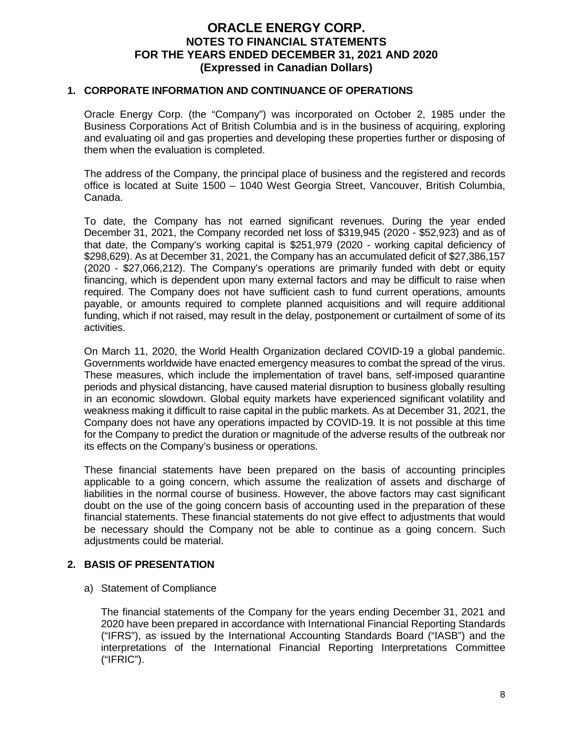### **1. CORPORATE INFORMATION AND CONTINUANCE OF OPERATIONS**

Oracle Energy Corp. (the "Company") was incorporated on October 2, 1985 under the Business Corporations Act of British Columbia and is in the business of acquiring, exploring and evaluating oil and gas properties and developing these properties further or disposing of them when the evaluation is completed.

The address of the Company, the principal place of business and the registered and records office is located at Suite 1500 – 1040 West Georgia Street, Vancouver, British Columbia, Canada.

To date, the Company has not earned significant revenues. During the year ended December 31, 2021, the Company recorded net loss of \$319,945 (2020 - \$52,923) and as of that date, the Company's working capital is \$251,979 (2020 - working capital deficiency of \$298,629). As at December 31, 2021, the Company has an accumulated deficit of \$27,386,157 (2020 - \$27,066,212). The Company's operations are primarily funded with debt or equity financing, which is dependent upon many external factors and may be difficult to raise when required. The Company does not have sufficient cash to fund current operations, amounts payable, or amounts required to complete planned acquisitions and will require additional funding, which if not raised, may result in the delay, postponement or curtailment of some of its activities.

On March 11, 2020, the World Health Organization declared COVID-19 a global pandemic. Governments worldwide have enacted emergency measures to combat the spread of the virus. These measures, which include the implementation of travel bans, self-imposed quarantine periods and physical distancing, have caused material disruption to business globally resulting in an economic slowdown. Global equity markets have experienced significant volatility and weakness making it difficult to raise capital in the public markets. As at December 31, 2021, the Company does not have any operations impacted by COVID-19. It is not possible at this time for the Company to predict the duration or magnitude of the adverse results of the outbreak nor its effects on the Company's business or operations.

These financial statements have been prepared on the basis of accounting principles applicable to a going concern, which assume the realization of assets and discharge of liabilities in the normal course of business. However, the above factors may cast significant doubt on the use of the going concern basis of accounting used in the preparation of these financial statements. These financial statements do not give effect to adjustments that would be necessary should the Company not be able to continue as a going concern. Such adjustments could be material.

# **2. BASIS OF PRESENTATION**

a) Statement of Compliance

The financial statements of the Company for the years ending December 31, 2021 and 2020 have been prepared in accordance with International Financial Reporting Standards ("IFRS"), as issued by the International Accounting Standards Board ("IASB") and the interpretations of the International Financial Reporting Interpretations Committee ("IFRIC").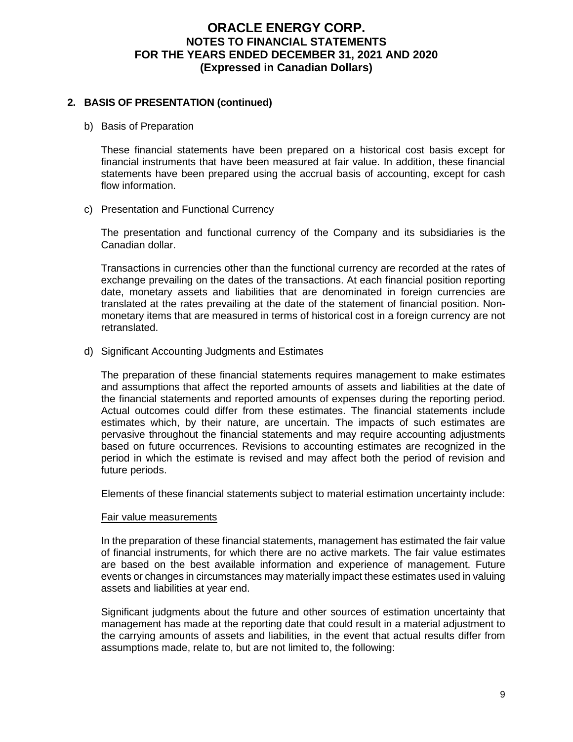# **2. BASIS OF PRESENTATION (continued)**

b) Basis of Preparation

These financial statements have been prepared on a historical cost basis except for financial instruments that have been measured at fair value. In addition, these financial statements have been prepared using the accrual basis of accounting, except for cash flow information.

c) Presentation and Functional Currency

The presentation and functional currency of the Company and its subsidiaries is the Canadian dollar.

Transactions in currencies other than the functional currency are recorded at the rates of exchange prevailing on the dates of the transactions. At each financial position reporting date, monetary assets and liabilities that are denominated in foreign currencies are translated at the rates prevailing at the date of the statement of financial position. Nonmonetary items that are measured in terms of historical cost in a foreign currency are not retranslated.

d) Significant Accounting Judgments and Estimates

The preparation of these financial statements requires management to make estimates and assumptions that affect the reported amounts of assets and liabilities at the date of the financial statements and reported amounts of expenses during the reporting period. Actual outcomes could differ from these estimates. The financial statements include estimates which, by their nature, are uncertain. The impacts of such estimates are pervasive throughout the financial statements and may require accounting adjustments based on future occurrences. Revisions to accounting estimates are recognized in the period in which the estimate is revised and may affect both the period of revision and future periods.

Elements of these financial statements subject to material estimation uncertainty include:

#### Fair value measurements

In the preparation of these financial statements, management has estimated the fair value of financial instruments, for which there are no active markets. The fair value estimates are based on the best available information and experience of management. Future events or changes in circumstances may materially impact these estimates used in valuing assets and liabilities at year end.

Significant judgments about the future and other sources of estimation uncertainty that management has made at the reporting date that could result in a material adjustment to the carrying amounts of assets and liabilities, in the event that actual results differ from assumptions made, relate to, but are not limited to, the following: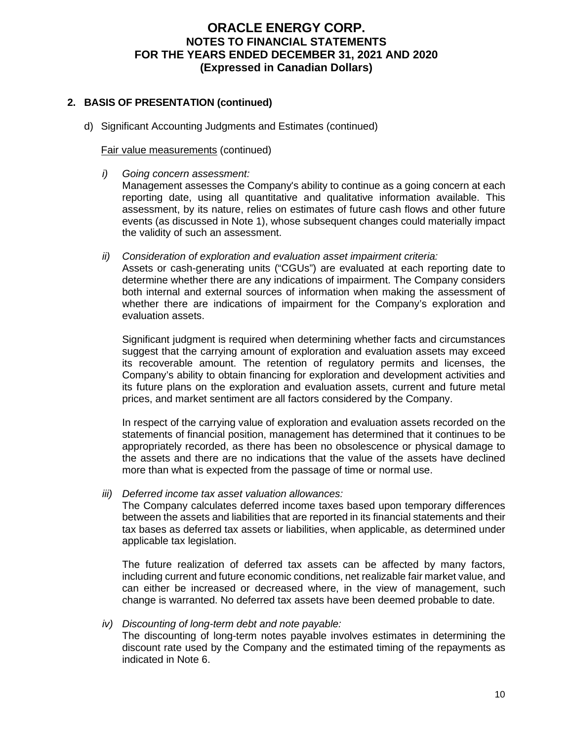# **2. BASIS OF PRESENTATION (continued)**

d) Significant Accounting Judgments and Estimates (continued)

### Fair value measurements (continued)

*i) Going concern assessment:* 

Management assesses the Company's ability to continue as a going concern at each reporting date, using all quantitative and qualitative information available. This assessment, by its nature, relies on estimates of future cash flows and other future events (as discussed in Note 1), whose subsequent changes could materially impact the validity of such an assessment.

*ii) Consideration of exploration and evaluation asset impairment criteria:* 

Assets or cash-generating units ("CGUs") are evaluated at each reporting date to determine whether there are any indications of impairment. The Company considers both internal and external sources of information when making the assessment of whether there are indications of impairment for the Company's exploration and evaluation assets.

Significant judgment is required when determining whether facts and circumstances suggest that the carrying amount of exploration and evaluation assets may exceed its recoverable amount. The retention of regulatory permits and licenses, the Company's ability to obtain financing for exploration and development activities and its future plans on the exploration and evaluation assets, current and future metal prices, and market sentiment are all factors considered by the Company.

In respect of the carrying value of exploration and evaluation assets recorded on the statements of financial position, management has determined that it continues to be appropriately recorded, as there has been no obsolescence or physical damage to the assets and there are no indications that the value of the assets have declined more than what is expected from the passage of time or normal use.

*iii) Deferred income tax asset valuation allowances:* 

The Company calculates deferred income taxes based upon temporary differences between the assets and liabilities that are reported in its financial statements and their tax bases as deferred tax assets or liabilities, when applicable, as determined under applicable tax legislation.

The future realization of deferred tax assets can be affected by many factors, including current and future economic conditions, net realizable fair market value, and can either be increased or decreased where, in the view of management, such change is warranted. No deferred tax assets have been deemed probable to date.

*iv) Discounting of long-term debt and note payable:* 

The discounting of long-term notes payable involves estimates in determining the discount rate used by the Company and the estimated timing of the repayments as indicated in Note 6.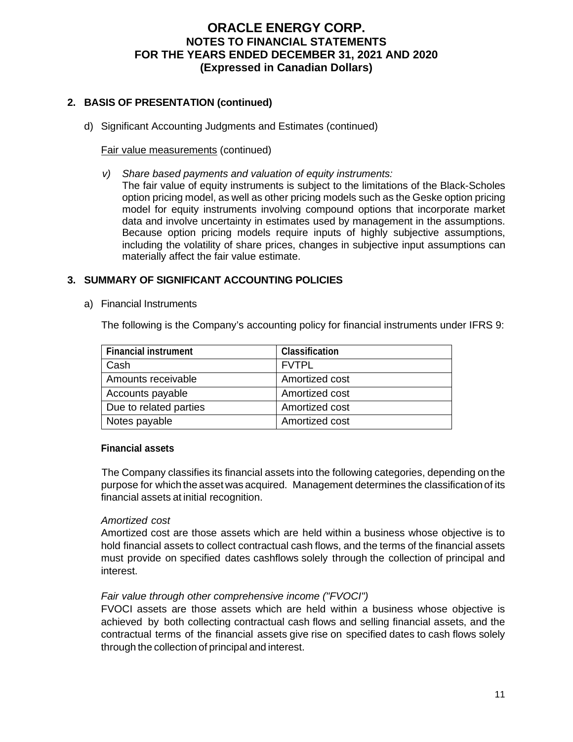# **2. BASIS OF PRESENTATION (continued)**

d) Significant Accounting Judgments and Estimates (continued)

### Fair value measurements (continued)

- *v) Share based payments and valuation of equity instruments:* 
	- The fair value of equity instruments is subject to the limitations of the Black-Scholes option pricing model, as well as other pricing models such as the Geske option pricing model for equity instruments involving compound options that incorporate market data and involve uncertainty in estimates used by management in the assumptions. Because option pricing models require inputs of highly subjective assumptions, including the volatility of share prices, changes in subjective input assumptions can materially affect the fair value estimate.

# **3. SUMMARY OF SIGNIFICANT ACCOUNTING POLICIES**

a) Financial Instruments

The following is the Company's accounting policy for financial instruments under IFRS 9:

| <b>Financial instrument</b> | <b>Classification</b> |
|-----------------------------|-----------------------|
| Cash                        | <b>FVTPL</b>          |
| Amounts receivable          | Amortized cost        |
| Accounts payable            | Amortized cost        |
| Due to related parties      | Amortized cost        |
| Notes payable               | Amortized cost        |

#### **Financial assets**

The Company classifies its financial assets into the following categories, depending on the purpose for which the asset was acquired. Management determines the classification of its financial assets at initial recognition.

# *Amortized cost*

Amortized cost are those assets which are held within a business whose objective is to hold financial assets to collect contractual cash flows, and the terms of the financial assets must provide on specified dates cashflows solely through the collection of principal and interest.

# *Fair value through other comprehensive income ("FVOCI")*

FVOCI assets are those assets which are held within a business whose objective is achieved by both collecting contractual cash flows and selling financial assets, and the contractual terms of the financial assets give rise on specified dates to cash flows solely through the collection of principal and interest.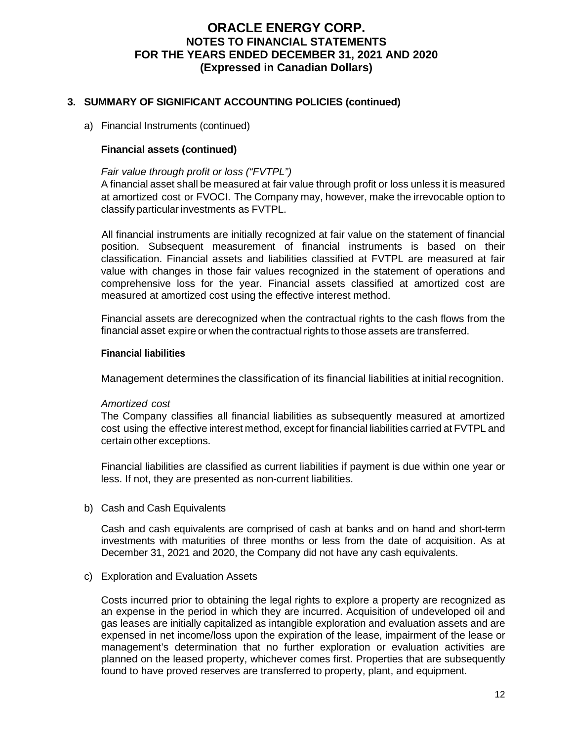### **3. SUMMARY OF SIGNIFICANT ACCOUNTING POLICIES (continued)**

#### a) Financial Instruments (continued)

### **Financial assets (continued)**

#### *Fair value through profit or loss ("FVTPL")*

A financial asset shall be measured at fair value through profit or loss unless it is measured at amortized cost or FVOCI. The Company may, however, make the irrevocable option to classify particular investments as FVTPL.

All financial instruments are initially recognized at fair value on the statement of financial position. Subsequent measurement of financial instruments is based on their classification. Financial assets and liabilities classified at FVTPL are measured at fair value with changes in those fair values recognized in the statement of operations and comprehensive loss for the year. Financial assets classified at amortized cost are measured at amortized cost using the effective interest method.

Financial assets are derecognized when the contractual rights to the cash flows from the financial asset expire or when the contractual rights to those assets are transferred.

#### **Financial liabilities**

Management determines the classification of its financial liabilities at initial recognition.

#### *Amortized cost*

The Company classifies all financial liabilities as subsequently measured at amortized cost using the effective interest method, except for financial liabilities carried at FVTPL and certain other exceptions.

Financial liabilities are classified as current liabilities if payment is due within one year or less. If not, they are presented as non-current liabilities.

b) Cash and Cash Equivalents

Cash and cash equivalents are comprised of cash at banks and on hand and short-term investments with maturities of three months or less from the date of acquisition. As at December 31, 2021 and 2020, the Company did not have any cash equivalents.

#### c) Exploration and Evaluation Assets

Costs incurred prior to obtaining the legal rights to explore a property are recognized as an expense in the period in which they are incurred. Acquisition of undeveloped oil and gas leases are initially capitalized as intangible exploration and evaluation assets and are expensed in net income/loss upon the expiration of the lease, impairment of the lease or management's determination that no further exploration or evaluation activities are planned on the leased property, whichever comes first. Properties that are subsequently found to have proved reserves are transferred to property, plant, and equipment.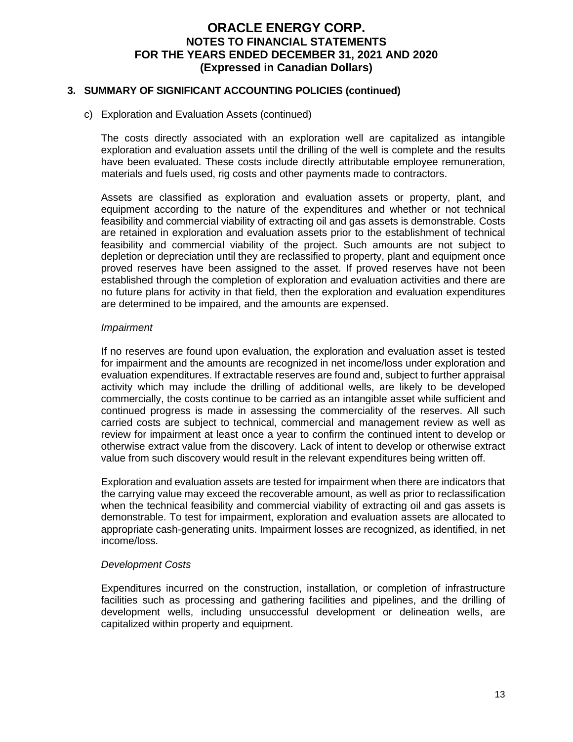### **3. SUMMARY OF SIGNIFICANT ACCOUNTING POLICIES (continued)**

c) Exploration and Evaluation Assets (continued)

The costs directly associated with an exploration well are capitalized as intangible exploration and evaluation assets until the drilling of the well is complete and the results have been evaluated. These costs include directly attributable employee remuneration, materials and fuels used, rig costs and other payments made to contractors.

Assets are classified as exploration and evaluation assets or property, plant, and equipment according to the nature of the expenditures and whether or not technical feasibility and commercial viability of extracting oil and gas assets is demonstrable. Costs are retained in exploration and evaluation assets prior to the establishment of technical feasibility and commercial viability of the project. Such amounts are not subject to depletion or depreciation until they are reclassified to property, plant and equipment once proved reserves have been assigned to the asset. If proved reserves have not been established through the completion of exploration and evaluation activities and there are no future plans for activity in that field, then the exploration and evaluation expenditures are determined to be impaired, and the amounts are expensed.

#### *Impairment*

If no reserves are found upon evaluation, the exploration and evaluation asset is tested for impairment and the amounts are recognized in net income/loss under exploration and evaluation expenditures. If extractable reserves are found and, subject to further appraisal activity which may include the drilling of additional wells, are likely to be developed commercially, the costs continue to be carried as an intangible asset while sufficient and continued progress is made in assessing the commerciality of the reserves. All such carried costs are subject to technical, commercial and management review as well as review for impairment at least once a year to confirm the continued intent to develop or otherwise extract value from the discovery. Lack of intent to develop or otherwise extract value from such discovery would result in the relevant expenditures being written off.

Exploration and evaluation assets are tested for impairment when there are indicators that the carrying value may exceed the recoverable amount, as well as prior to reclassification when the technical feasibility and commercial viability of extracting oil and gas assets is demonstrable. To test for impairment, exploration and evaluation assets are allocated to appropriate cash-generating units. Impairment losses are recognized, as identified, in net income/loss.

#### *Development Costs*

Expenditures incurred on the construction, installation, or completion of infrastructure facilities such as processing and gathering facilities and pipelines, and the drilling of development wells, including unsuccessful development or delineation wells, are capitalized within property and equipment.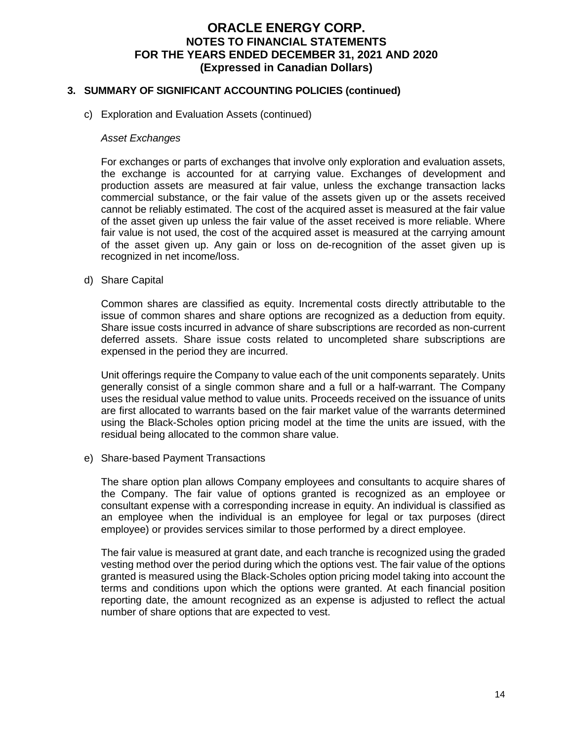### **3. SUMMARY OF SIGNIFICANT ACCOUNTING POLICIES (continued)**

c) Exploration and Evaluation Assets (continued)

#### *Asset Exchanges*

For exchanges or parts of exchanges that involve only exploration and evaluation assets, the exchange is accounted for at carrying value. Exchanges of development and production assets are measured at fair value, unless the exchange transaction lacks commercial substance, or the fair value of the assets given up or the assets received cannot be reliably estimated. The cost of the acquired asset is measured at the fair value of the asset given up unless the fair value of the asset received is more reliable. Where fair value is not used, the cost of the acquired asset is measured at the carrying amount of the asset given up. Any gain or loss on de-recognition of the asset given up is recognized in net income/loss.

d) Share Capital

Common shares are classified as equity. Incremental costs directly attributable to the issue of common shares and share options are recognized as a deduction from equity. Share issue costs incurred in advance of share subscriptions are recorded as non-current deferred assets. Share issue costs related to uncompleted share subscriptions are expensed in the period they are incurred.

Unit offerings require the Company to value each of the unit components separately. Units generally consist of a single common share and a full or a half-warrant. The Company uses the residual value method to value units. Proceeds received on the issuance of units are first allocated to warrants based on the fair market value of the warrants determined using the Black-Scholes option pricing model at the time the units are issued, with the residual being allocated to the common share value.

e) Share-based Payment Transactions

The share option plan allows Company employees and consultants to acquire shares of the Company. The fair value of options granted is recognized as an employee or consultant expense with a corresponding increase in equity. An individual is classified as an employee when the individual is an employee for legal or tax purposes (direct employee) or provides services similar to those performed by a direct employee.

The fair value is measured at grant date, and each tranche is recognized using the graded vesting method over the period during which the options vest. The fair value of the options granted is measured using the Black-Scholes option pricing model taking into account the terms and conditions upon which the options were granted. At each financial position reporting date, the amount recognized as an expense is adjusted to reflect the actual number of share options that are expected to vest.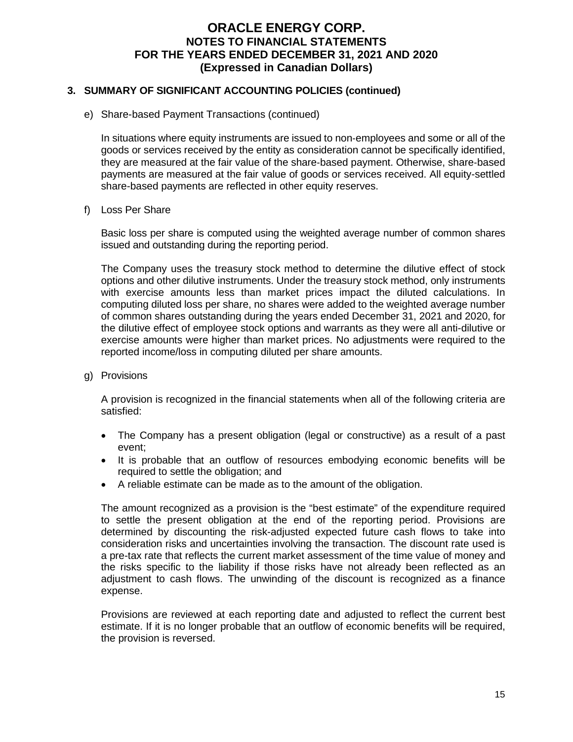### **3. SUMMARY OF SIGNIFICANT ACCOUNTING POLICIES (continued)**

e) Share-based Payment Transactions (continued)

In situations where equity instruments are issued to non‐employees and some or all of the goods or services received by the entity as consideration cannot be specifically identified, they are measured at the fair value of the share‐based payment. Otherwise, share‐based payments are measured at the fair value of goods or services received. All equity-settled share-based payments are reflected in other equity reserves.

#### f) Loss Per Share

Basic loss per share is computed using the weighted average number of common shares issued and outstanding during the reporting period.

The Company uses the treasury stock method to determine the dilutive effect of stock options and other dilutive instruments. Under the treasury stock method, only instruments with exercise amounts less than market prices impact the diluted calculations. In computing diluted loss per share, no shares were added to the weighted average number of common shares outstanding during the years ended December 31, 2021 and 2020, for the dilutive effect of employee stock options and warrants as they were all anti-dilutive or exercise amounts were higher than market prices. No adjustments were required to the reported income/loss in computing diluted per share amounts.

g) Provisions

A provision is recognized in the financial statements when all of the following criteria are satisfied:

- The Company has a present obligation (legal or constructive) as a result of a past event;
- It is probable that an outflow of resources embodying economic benefits will be required to settle the obligation; and
- A reliable estimate can be made as to the amount of the obligation.

The amount recognized as a provision is the "best estimate" of the expenditure required to settle the present obligation at the end of the reporting period. Provisions are determined by discounting the risk-adjusted expected future cash flows to take into consideration risks and uncertainties involving the transaction. The discount rate used is a pre-tax rate that reflects the current market assessment of the time value of money and the risks specific to the liability if those risks have not already been reflected as an adjustment to cash flows. The unwinding of the discount is recognized as a finance expense.

Provisions are reviewed at each reporting date and adjusted to reflect the current best estimate. If it is no longer probable that an outflow of economic benefits will be required, the provision is reversed.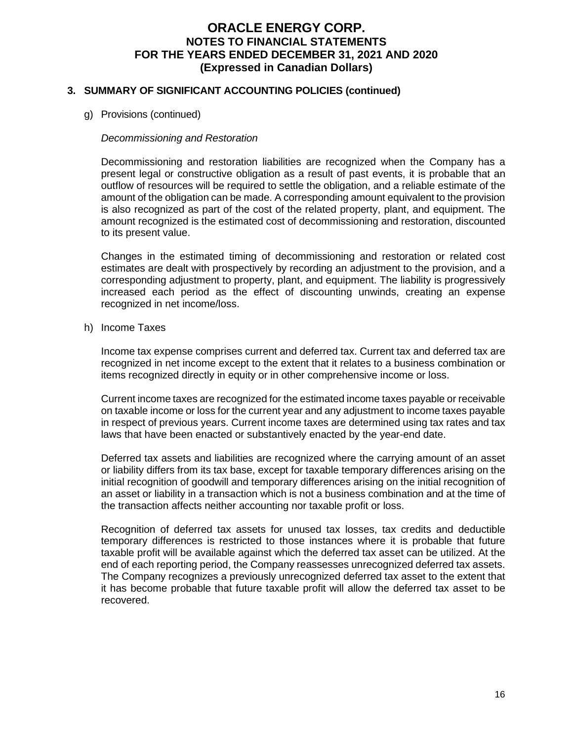### **3. SUMMARY OF SIGNIFICANT ACCOUNTING POLICIES (continued)**

g) Provisions (continued)

### *Decommissioning and Restoration*

Decommissioning and restoration liabilities are recognized when the Company has a present legal or constructive obligation as a result of past events, it is probable that an outflow of resources will be required to settle the obligation, and a reliable estimate of the amount of the obligation can be made. A corresponding amount equivalent to the provision is also recognized as part of the cost of the related property, plant, and equipment. The amount recognized is the estimated cost of decommissioning and restoration, discounted to its present value.

Changes in the estimated timing of decommissioning and restoration or related cost estimates are dealt with prospectively by recording an adjustment to the provision, and a corresponding adjustment to property, plant, and equipment. The liability is progressively increased each period as the effect of discounting unwinds, creating an expense recognized in net income/loss.

h) Income Taxes

Income tax expense comprises current and deferred tax. Current tax and deferred tax are recognized in net income except to the extent that it relates to a business combination or items recognized directly in equity or in other comprehensive income or loss.

Current income taxes are recognized for the estimated income taxes payable or receivable on taxable income or loss for the current year and any adjustment to income taxes payable in respect of previous years. Current income taxes are determined using tax rates and tax laws that have been enacted or substantively enacted by the year-end date.

Deferred tax assets and liabilities are recognized where the carrying amount of an asset or liability differs from its tax base, except for taxable temporary differences arising on the initial recognition of goodwill and temporary differences arising on the initial recognition of an asset or liability in a transaction which is not a business combination and at the time of the transaction affects neither accounting nor taxable profit or loss.

Recognition of deferred tax assets for unused tax losses, tax credits and deductible temporary differences is restricted to those instances where it is probable that future taxable profit will be available against which the deferred tax asset can be utilized. At the end of each reporting period, the Company reassesses unrecognized deferred tax assets. The Company recognizes a previously unrecognized deferred tax asset to the extent that it has become probable that future taxable profit will allow the deferred tax asset to be recovered.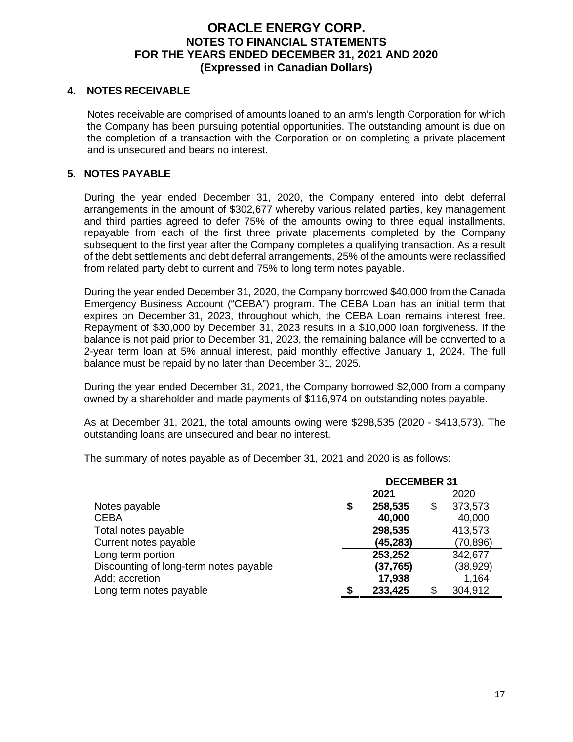### **4. NOTES RECEIVABLE**

Notes receivable are comprised of amounts loaned to an arm's length Corporation for which the Company has been pursuing potential opportunities. The outstanding amount is due on the completion of a transaction with the Corporation or on completing a private placement and is unsecured and bears no interest.

### **5. NOTES PAYABLE**

During the year ended December 31, 2020, the Company entered into debt deferral arrangements in the amount of \$302,677 whereby various related parties, key management and third parties agreed to defer 75% of the amounts owing to three equal installments, repayable from each of the first three private placements completed by the Company subsequent to the first year after the Company completes a qualifying transaction. As a result of the debt settlements and debt deferral arrangements, 25% of the amounts were reclassified from related party debt to current and 75% to long term notes payable.

During the year ended December 31, 2020, the Company borrowed \$40,000 from the Canada Emergency Business Account ("CEBA") program. The CEBA Loan has an initial term that expires on December 31, 2023, throughout which, the CEBA Loan remains interest free. Repayment of \$30,000 by December 31, 2023 results in a \$10,000 loan forgiveness. If the balance is not paid prior to December 31, 2023, the remaining balance will be converted to a 2-year term loan at 5% annual interest, paid monthly effective January 1, 2024. The full balance must be repaid by no later than December 31, 2025.

During the year ended December 31, 2021, the Company borrowed \$2,000 from a company owned by a shareholder and made payments of \$116,974 on outstanding notes payable.

As at December 31, 2021, the total amounts owing were \$298,535 (2020 - \$413,573). The outstanding loans are unsecured and bear no interest.

The summary of notes payable as of December 31, 2021 and 2020 is as follows:

|                                        | <b>DECEMBER 31</b> |           |    |           |
|----------------------------------------|--------------------|-----------|----|-----------|
|                                        |                    | 2021      |    | 2020      |
| Notes payable                          | S                  | 258,535   | \$ | 373,573   |
| <b>CEBA</b>                            |                    | 40,000    |    | 40,000    |
| Total notes payable                    |                    | 298,535   |    | 413,573   |
| Current notes payable                  |                    | (45, 283) |    | (70, 896) |
| Long term portion                      |                    | 253,252   |    | 342,677   |
| Discounting of long-term notes payable |                    | (37, 765) |    | (38, 929) |
| Add: accretion                         |                    | 17,938    |    | 1,164     |
| Long term notes payable                |                    | 233,425   | S  | 304,912   |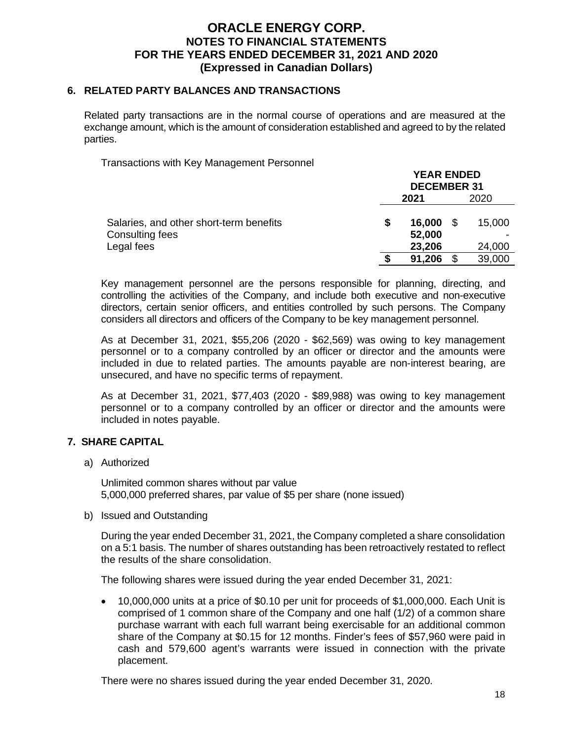### **6. RELATED PARTY BALANCES AND TRANSACTIONS**

Related party transactions are in the normal course of operations and are measured at the exchange amount, which is the amount of consideration established and agreed to by the related parties.

Transactions with Key Management Personnel

|                                         | <b>YEAR ENDED</b><br><b>DECEMBER 31</b> |           |   |        |
|-----------------------------------------|-----------------------------------------|-----------|---|--------|
|                                         | 2020<br>2021                            |           |   |        |
| Salaries, and other short-term benefits |                                         | 16,000 \$ |   | 15,000 |
| Consulting fees                         |                                         | 52,000    |   |        |
| Legal fees                              |                                         | 23,206    |   | 24,000 |
|                                         |                                         | 91,206    | S | 39,000 |

Key management personnel are the persons responsible for planning, directing, and controlling the activities of the Company, and include both executive and non-executive directors, certain senior officers, and entities controlled by such persons. The Company considers all directors and officers of the Company to be key management personnel.

As at December 31, 2021, \$55,206 (2020 - \$62,569) was owing to key management personnel or to a company controlled by an officer or director and the amounts were included in due to related parties. The amounts payable are non-interest bearing, are unsecured, and have no specific terms of repayment.

As at December 31, 2021, \$77,403 (2020 - \$89,988) was owing to key management personnel or to a company controlled by an officer or director and the amounts were included in notes payable.

#### **7. SHARE CAPITAL**

a) Authorized

Unlimited common shares without par value 5,000,000 preferred shares, par value of \$5 per share (none issued)

b) Issued and Outstanding

During the year ended December 31, 2021, the Company completed a share consolidation on a 5:1 basis. The number of shares outstanding has been retroactively restated to reflect the results of the share consolidation.

The following shares were issued during the year ended December 31, 2021:

 10,000,000 units at a price of \$0.10 per unit for proceeds of \$1,000,000. Each Unit is comprised of 1 common share of the Company and one half (1/2) of a common share purchase warrant with each full warrant being exercisable for an additional common share of the Company at \$0.15 for 12 months. Finder's fees of \$57,960 were paid in cash and 579,600 agent's warrants were issued in connection with the private placement.

There were no shares issued during the year ended December 31, 2020.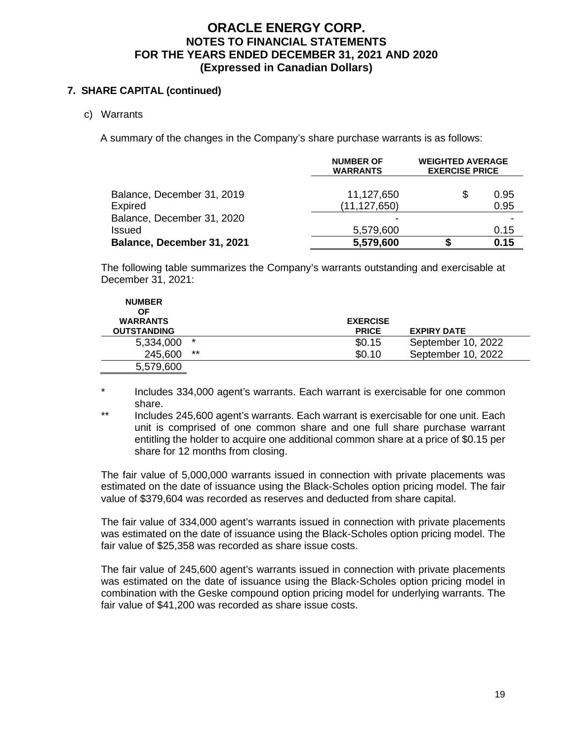### **7. SHARE CAPITAL (continued)**

c) Warrants

A summary of the changes in the Company's share purchase warrants is as follows:

|                                              | <b>NUMBER OF</b><br><b>WARRANTS</b> | <b>WEIGHTED AVERAGE</b><br><b>EXERCISE PRICE</b> |              |
|----------------------------------------------|-------------------------------------|--------------------------------------------------|--------------|
| Balance, December 31, 2019<br><b>Expired</b> | 11,127,650<br>(11, 127, 650)        | S                                                | 0.95<br>0.95 |
| Balance, December 31, 2020                   |                                     |                                                  |              |
| <b>Issued</b>                                | 5,579,600                           |                                                  | 0.15         |
| Balance, December 31, 2021                   | 5,579,600                           |                                                  | 0.15         |

The following table summarizes the Company's warrants outstanding and exercisable at December 31, 2021:

| <b>NUMBER</b><br>ΟF                   |         |                                 |                    |
|---------------------------------------|---------|---------------------------------|--------------------|
| <b>WARRANTS</b><br><b>OUTSTANDING</b> |         | <b>EXERCISE</b><br><b>PRICE</b> | <b>EXPIRY DATE</b> |
| 5,334,000                             | $\star$ | \$0.15                          | September 10, 2022 |
| 245,600                               | $***$   | \$0.10                          | September 10, 2022 |
| 5,579,600                             |         |                                 |                    |

\* Includes 334,000 agent's warrants. Each warrant is exercisable for one common share.

\*\* Includes 245,600 agent's warrants. Each warrant is exercisable for one unit. Each unit is comprised of one common share and one full share purchase warrant entitling the holder to acquire one additional common share at a price of \$0.15 per share for 12 months from closing.

The fair value of 5,000,000 warrants issued in connection with private placements was estimated on the date of issuance using the Black-Scholes option pricing model. The fair value of \$379,604 was recorded as reserves and deducted from share capital.

The fair value of 334,000 agent's warrants issued in connection with private placements was estimated on the date of issuance using the Black-Scholes option pricing model. The fair value of \$25,358 was recorded as share issue costs.

The fair value of 245,600 agent's warrants issued in connection with private placements was estimated on the date of issuance using the Black-Scholes option pricing model in combination with the Geske compound option pricing model for underlying warrants. The fair value of \$41,200 was recorded as share issue costs.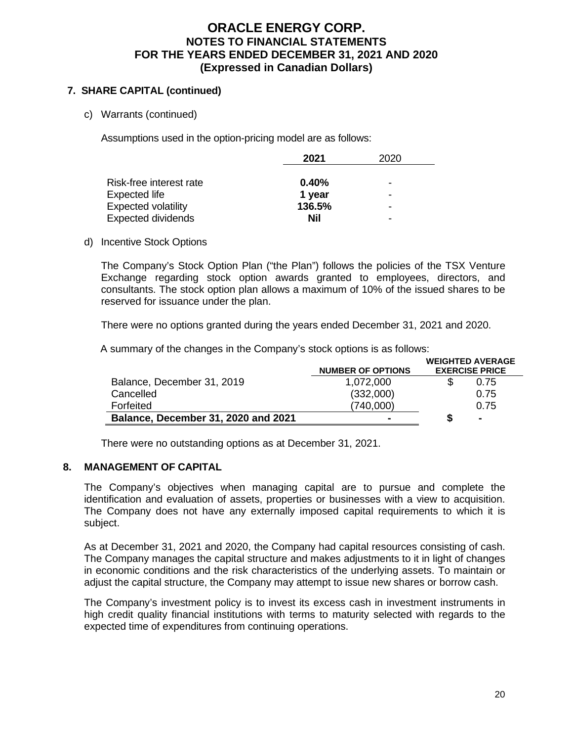### **7. SHARE CAPITAL (continued)**

c) Warrants (continued)

Assumptions used in the option-pricing model are as follows:

|                            | 2021       | 2020 |  |
|----------------------------|------------|------|--|
|                            |            |      |  |
| Risk-free interest rate    | 0.40%      | -    |  |
| Expected life              | 1 year     | -    |  |
| <b>Expected volatility</b> | 136.5%     | -    |  |
| <b>Expected dividends</b>  | <b>Nil</b> |      |  |
|                            |            |      |  |

#### d) Incentive Stock Options

The Company's Stock Option Plan ("the Plan") follows the policies of the TSX Venture Exchange regarding stock option awards granted to employees, directors, and consultants. The stock option plan allows a maximum of 10% of the issued shares to be reserved for issuance under the plan.

There were no options granted during the years ended December 31, 2021 and 2020.

A summary of the changes in the Company's stock options is as follows:

|                                     |                          | <b>WEIGHTED AVERAGE</b> |                |  |
|-------------------------------------|--------------------------|-------------------------|----------------|--|
|                                     | <b>NUMBER OF OPTIONS</b> | <b>EXERCISE PRICE</b>   |                |  |
| Balance, December 31, 2019          | 1,072,000                |                         | 0.75           |  |
| Cancelled                           | (332,000)                |                         | 0.75           |  |
| Forfeited                           | (740,000)                |                         | 0.75           |  |
| Balance, December 31, 2020 and 2021 |                          | S                       | $\blacksquare$ |  |

There were no outstanding options as at December 31, 2021.

#### **8. MANAGEMENT OF CAPITAL**

The Company's objectives when managing capital are to pursue and complete the identification and evaluation of assets, properties or businesses with a view to acquisition. The Company does not have any externally imposed capital requirements to which it is subject.

As at December 31, 2021 and 2020, the Company had capital resources consisting of cash. The Company manages the capital structure and makes adjustments to it in light of changes in economic conditions and the risk characteristics of the underlying assets. To maintain or adjust the capital structure, the Company may attempt to issue new shares or borrow cash.

The Company's investment policy is to invest its excess cash in investment instruments in high credit quality financial institutions with terms to maturity selected with regards to the expected time of expenditures from continuing operations.

**WEIGHTED AVERAGE**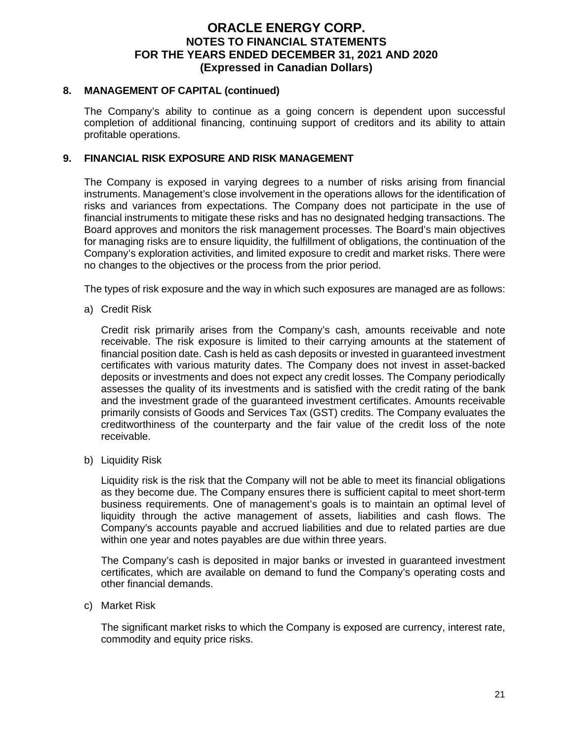### **8. MANAGEMENT OF CAPITAL (continued)**

The Company's ability to continue as a going concern is dependent upon successful completion of additional financing, continuing support of creditors and its ability to attain profitable operations.

### **9. FINANCIAL RISK EXPOSURE AND RISK MANAGEMENT**

The Company is exposed in varying degrees to a number of risks arising from financial instruments. Management's close involvement in the operations allows for the identification of risks and variances from expectations. The Company does not participate in the use of financial instruments to mitigate these risks and has no designated hedging transactions. The Board approves and monitors the risk management processes. The Board's main objectives for managing risks are to ensure liquidity, the fulfillment of obligations, the continuation of the Company's exploration activities, and limited exposure to credit and market risks. There were no changes to the objectives or the process from the prior period.

The types of risk exposure and the way in which such exposures are managed are as follows:

a) Credit Risk

Credit risk primarily arises from the Company's cash, amounts receivable and note receivable. The risk exposure is limited to their carrying amounts at the statement of financial position date. Cash is held as cash deposits or invested in guaranteed investment certificates with various maturity dates. The Company does not invest in asset-backed deposits or investments and does not expect any credit losses. The Company periodically assesses the quality of its investments and is satisfied with the credit rating of the bank and the investment grade of the guaranteed investment certificates. Amounts receivable primarily consists of Goods and Services Tax (GST) credits. The Company evaluates the creditworthiness of the counterparty and the fair value of the credit loss of the note receivable.

b) Liquidity Risk

Liquidity risk is the risk that the Company will not be able to meet its financial obligations as they become due. The Company ensures there is sufficient capital to meet short-term business requirements. One of management's goals is to maintain an optimal level of liquidity through the active management of assets, liabilities and cash flows. The Company's accounts payable and accrued liabilities and due to related parties are due within one year and notes payables are due within three years.

The Company's cash is deposited in major banks or invested in guaranteed investment certificates, which are available on demand to fund the Company's operating costs and other financial demands.

c) Market Risk

The significant market risks to which the Company is exposed are currency, interest rate, commodity and equity price risks.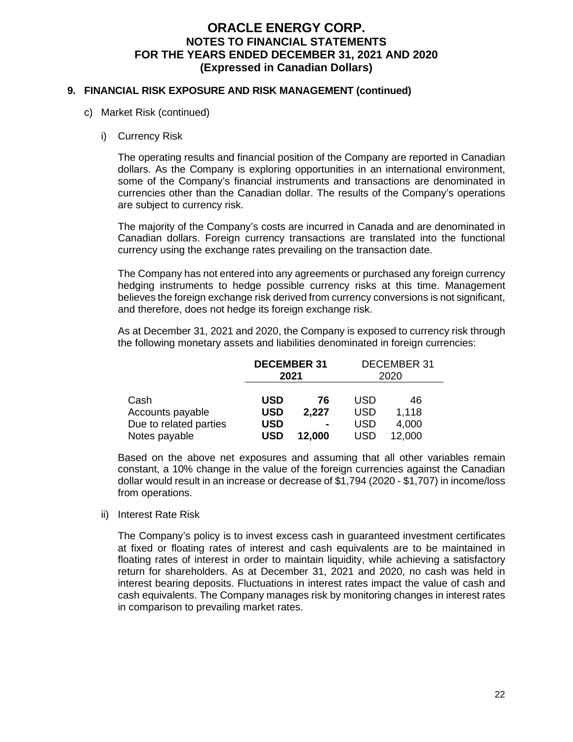### **9. FINANCIAL RISK EXPOSURE AND RISK MANAGEMENT (continued)**

- c) Market Risk (continued)
	- i) Currency Risk

The operating results and financial position of the Company are reported in Canadian dollars. As the Company is exploring opportunities in an international environment, some of the Company's financial instruments and transactions are denominated in currencies other than the Canadian dollar. The results of the Company's operations are subject to currency risk.

The majority of the Company's costs are incurred in Canada and are denominated in Canadian dollars. Foreign currency transactions are translated into the functional currency using the exchange rates prevailing on the transaction date.

The Company has not entered into any agreements or purchased any foreign currency hedging instruments to hedge possible currency risks at this time. Management believes the foreign exchange risk derived from currency conversions is not significant, and therefore, does not hedge its foreign exchange risk.

As at December 31, 2021 and 2020, the Company is exposed to currency risk through the following monetary assets and liabilities denominated in foreign currencies:

|                        | <b>DECEMBER 31</b><br>2021 |                | <b>DECEMBER 31</b><br>2020 |        |
|------------------------|----------------------------|----------------|----------------------------|--------|
| Cash                   | USD                        | 76             | USD                        | 46     |
| Accounts payable       | <b>USD</b>                 | 2,227          | <b>USD</b>                 | 1,118  |
| Due to related parties | USD                        | $\blacksquare$ | USD                        | 4,000  |
| Notes payable          | USD                        | 12,000         | USD                        | 12,000 |

Based on the above net exposures and assuming that all other variables remain constant, a 10% change in the value of the foreign currencies against the Canadian dollar would result in an increase or decrease of \$1,794 (2020 - \$1,707) in income/loss from operations.

ii) Interest Rate Risk

The Company's policy is to invest excess cash in guaranteed investment certificates at fixed or floating rates of interest and cash equivalents are to be maintained in floating rates of interest in order to maintain liquidity, while achieving a satisfactory return for shareholders. As at December 31, 2021 and 2020, no cash was held in interest bearing deposits. Fluctuations in interest rates impact the value of cash and cash equivalents. The Company manages risk by monitoring changes in interest rates in comparison to prevailing market rates.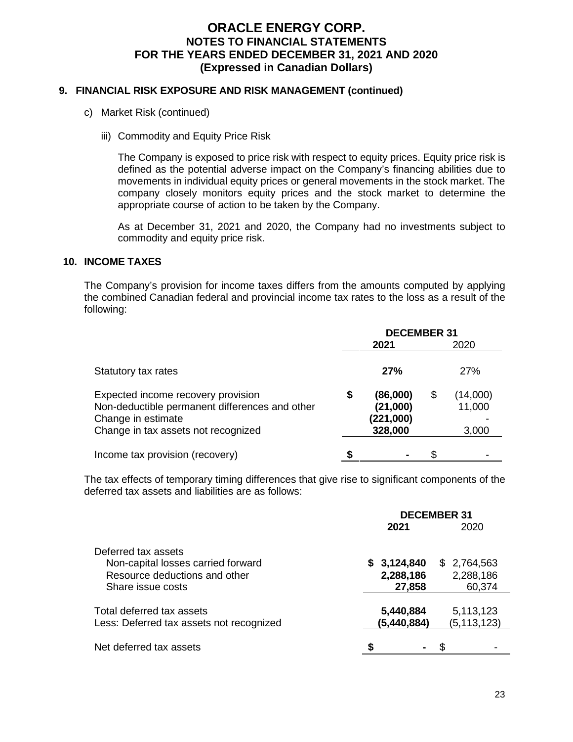### **9. FINANCIAL RISK EXPOSURE AND RISK MANAGEMENT (continued)**

- c) Market Risk (continued)
	- iii) Commodity and Equity Price Risk

The Company is exposed to price risk with respect to equity prices. Equity price risk is defined as the potential adverse impact on the Company's financing abilities due to movements in individual equity prices or general movements in the stock market. The company closely monitors equity prices and the stock market to determine the appropriate course of action to be taken by the Company.

As at December 31, 2021 and 2020, the Company had no investments subject to commodity and equity price risk.

#### **10. INCOME TAXES**

The Company's provision for income taxes differs from the amounts computed by applying the combined Canadian federal and provincial income tax rates to the loss as a result of the following:

|                                                                                                                                                   | <b>DECEMBER 31</b> |                                              |    |                             |
|---------------------------------------------------------------------------------------------------------------------------------------------------|--------------------|----------------------------------------------|----|-----------------------------|
|                                                                                                                                                   |                    | 2021                                         |    | 2020                        |
| Statutory tax rates                                                                                                                               |                    | 27%                                          |    | <b>27%</b>                  |
| Expected income recovery provision<br>Non-deductible permanent differences and other<br>Change in estimate<br>Change in tax assets not recognized | \$                 | (86,000)<br>(21,000)<br>(221,000)<br>328,000 | \$ | (14,000)<br>11,000<br>3,000 |
| Income tax provision (recovery)                                                                                                                   |                    | ۰                                            | £. |                             |

The tax effects of temporary timing differences that give rise to significant components of the deferred tax assets and liabilities are as follows:

|                                          | <b>DECEMBER 31</b> |               |  |
|------------------------------------------|--------------------|---------------|--|
|                                          | 2021               | 2020          |  |
| Deferred tax assets                      |                    |               |  |
| Non-capital losses carried forward       | \$3,124,840        | \$2,764,563   |  |
| Resource deductions and other            | 2,288,186          | 2,288,186     |  |
| Share issue costs                        | 27,858             | 60,374        |  |
| Total deferred tax assets                | 5,440,884          | 5,113,123     |  |
| Less: Deferred tax assets not recognized | (5,440,884)        | (5, 113, 123) |  |
| Net deferred tax assets                  |                    |               |  |